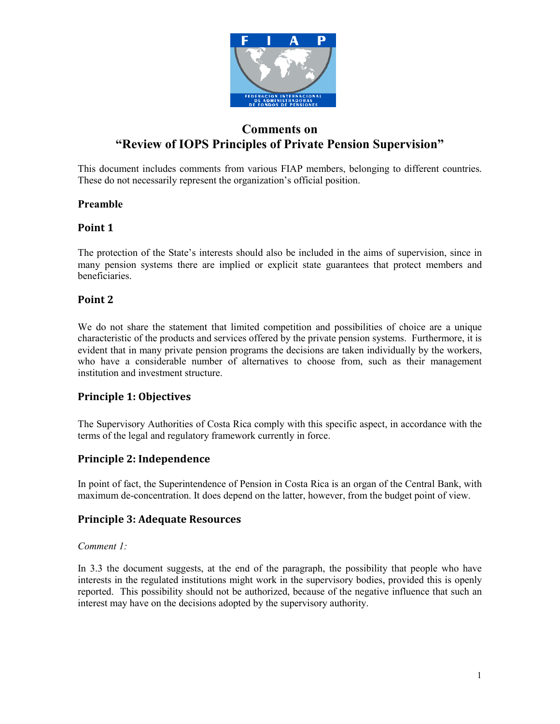

# Comments on "Review of IOPS Principles of Private Pension Supervision"

This document includes comments from various FIAP members, belonging to different countries. These do not necessarily represent the organization's official position.

### Preamble

# Point 1

The protection of the State's interests should also be included in the aims of supervision, since in many pension systems there are implied or explicit state guarantees that protect members and beneficiaries.

# Point 2

We do not share the statement that limited competition and possibilities of choice are a unique characteristic of the products and services offered by the private pension systems. Furthermore, it is evident that in many private pension programs the decisions are taken individually by the workers, who have a considerable number of alternatives to choose from, such as their management institution and investment structure.

# Principle 1: Objectives

The Supervisory Authorities of Costa Rica comply with this specific aspect, in accordance with the terms of the legal and regulatory framework currently in force.

# Principle 2: Independence

In point of fact, the Superintendence of Pension in Costa Rica is an organ of the Central Bank, with maximum de-concentration. It does depend on the latter, however, from the budget point of view.

# Principle 3: Adequate Resources

### Comment 1:

In 3.3 the document suggests, at the end of the paragraph, the possibility that people who have interests in the regulated institutions might work in the supervisory bodies, provided this is openly reported. This possibility should not be authorized, because of the negative influence that such an interest may have on the decisions adopted by the supervisory authority.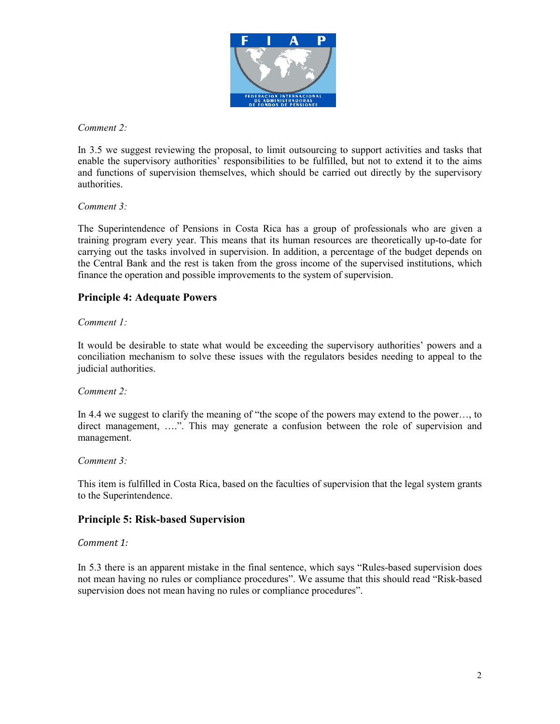

Comment 2:

In 3.5 we suggest reviewing the proposal, to limit outsourcing to support activities and tasks that enable the supervisory authorities' responsibilities to be fulfilled, but not to extend it to the aims and functions of supervision themselves, which should be carried out directly by the supervisory authorities.

Comment 3:

The Superintendence of Pensions in Costa Rica has a group of professionals who are given a training program every year. This means that its human resources are theoretically up-to-date for carrying out the tasks involved in supervision. In addition, a percentage of the budget depends on the Central Bank and the rest is taken from the gross income of the supervised institutions, which finance the operation and possible improvements to the system of supervision.

# Principle 4: Adequate Powers

### Comment 1:

It would be desirable to state what would be exceeding the supervisory authorities' powers and a conciliation mechanism to solve these issues with the regulators besides needing to appeal to the judicial authorities.

### Comment 2:

In 4.4 we suggest to clarify the meaning of "the scope of the powers may extend to the power…, to direct management, ....". This may generate a confusion between the role of supervision and management.

### Comment 3:

This item is fulfilled in Costa Rica, based on the faculties of supervision that the legal system grants to the Superintendence.

### Principle 5: Risk-based Supervision

Comment 1:

In 5.3 there is an apparent mistake in the final sentence, which says "Rules-based supervision does not mean having no rules or compliance procedures". We assume that this should read "Risk-based supervision does not mean having no rules or compliance procedures".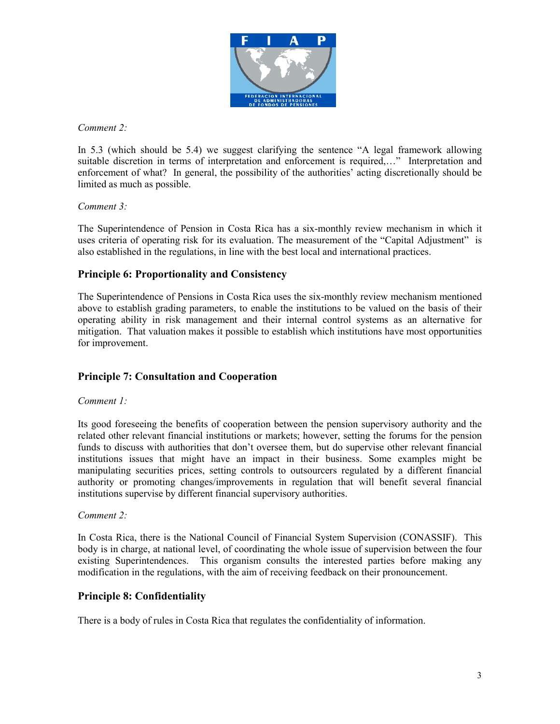

Comment 2:

In 5.3 (which should be 5.4) we suggest clarifying the sentence "A legal framework allowing suitable discretion in terms of interpretation and enforcement is required,…" Interpretation and enforcement of what? In general, the possibility of the authorities' acting discretionally should be limited as much as possible.

### Comment 3:

The Superintendence of Pension in Costa Rica has a six-monthly review mechanism in which it uses criteria of operating risk for its evaluation. The measurement of the "Capital Adjustment" is also established in the regulations, in line with the best local and international practices.

# Principle 6: Proportionality and Consistency

The Superintendence of Pensions in Costa Rica uses the six-monthly review mechanism mentioned above to establish grading parameters, to enable the institutions to be valued on the basis of their operating ability in risk management and their internal control systems as an alternative for mitigation. That valuation makes it possible to establish which institutions have most opportunities for improvement.

# Principle 7: Consultation and Cooperation

### Comment 1:

Its good foreseeing the benefits of cooperation between the pension supervisory authority and the related other relevant financial institutions or markets; however, setting the forums for the pension funds to discuss with authorities that don't oversee them, but do supervise other relevant financial institutions issues that might have an impact in their business. Some examples might be manipulating securities prices, setting controls to outsourcers regulated by a different financial authority or promoting changes/improvements in regulation that will benefit several financial institutions supervise by different financial supervisory authorities.

### Comment 2:

In Costa Rica, there is the National Council of Financial System Supervision (CONASSIF). This body is in charge, at national level, of coordinating the whole issue of supervision between the four existing Superintendences. This organism consults the interested parties before making any modification in the regulations, with the aim of receiving feedback on their pronouncement.

### Principle 8: Confidentiality

There is a body of rules in Costa Rica that regulates the confidentiality of information.